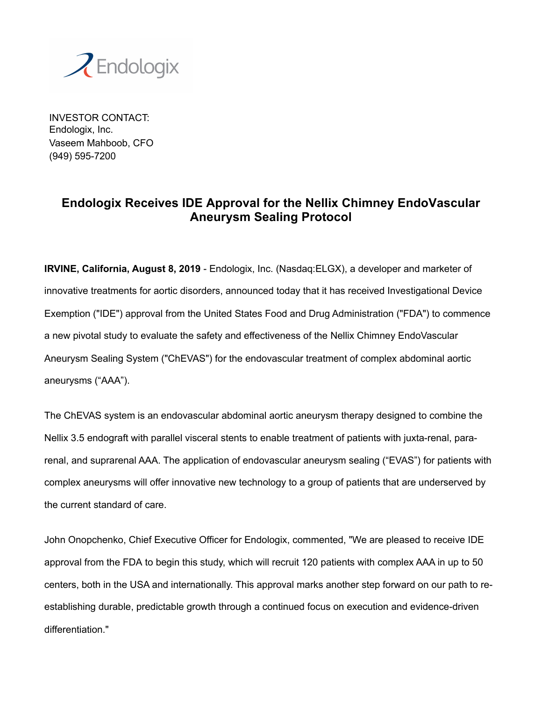

INVESTOR CONTACT: Endologix, Inc. Vaseem Mahboob, CFO (949) 595-7200

## **Endologix Receives IDE Approval for the Nellix Chimney EndoVascular Aneurysm Sealing Protocol**

**IRVINE, California, August 8, 2019** - Endologix, Inc. (Nasdaq:ELGX), a developer and marketer of innovative treatments for aortic disorders, announced today that it has received Investigational Device Exemption ("IDE") approval from the United States Food and Drug Administration ("FDA") to commence a new pivotal study to evaluate the safety and effectiveness of the Nellix Chimney EndoVascular Aneurysm Sealing System ("ChEVAS") for the endovascular treatment of complex abdominal aortic aneurysms ("AAA").

The ChEVAS system is an endovascular abdominal aortic aneurysm therapy designed to combine the Nellix 3.5 endograft with parallel visceral stents to enable treatment of patients with juxta-renal, pararenal, and suprarenal AAA. The application of endovascular aneurysm sealing ("EVAS") for patients with complex aneurysms will offer innovative new technology to a group of patients that are underserved by the current standard of care.

John Onopchenko, Chief Executive Officer for Endologix, commented, "We are pleased to receive IDE approval from the FDA to begin this study, which will recruit 120 patients with complex AAA in up to 50 centers, both in the USA and internationally. This approval marks another step forward on our path to reestablishing durable, predictable growth through a continued focus on execution and evidence-driven differentiation."